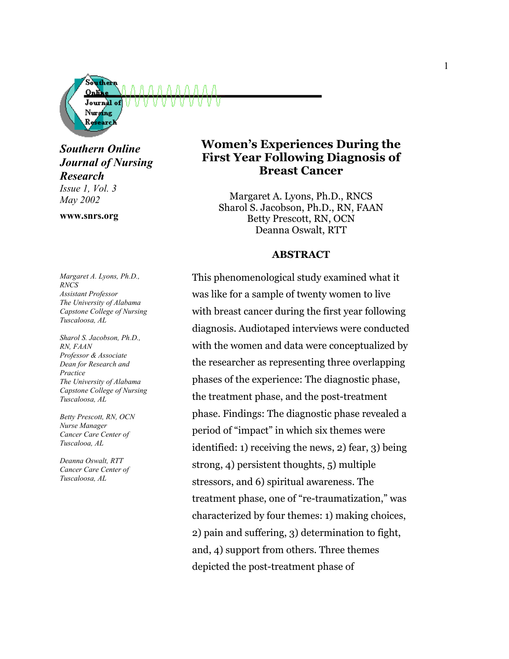

*Southern Online Journal of Nursing Research*

*Issue 1, Vol. 3 May 2002*

**www.snrs.org**

*Margaret A. Lyons, Ph.D., RNCS Assistant Professor The University of Alabama Capstone College of Nursing Tuscaloosa, AL* 

*Sharol S. Jacobson, Ph.D., RN, FAAN Professor & Associate Dean for Research and Practice The University of Alabama Capstone College of Nursing Tuscaloosa, AL* 

*Betty Prescott, RN, OCN Nurse Manager Cancer Care Center of Tuscalooa, AL* 

*Deanna Oswalt, RTT Cancer Care Center of Tuscaloosa, AL*

# **Women's Experiences During the First Year Following Diagnosis of Breast Cancer**

Margaret A. Lyons, Ph.D., RNCS Sharol S. Jacobson, Ph.D., RN, FAAN Betty Prescott, RN, OCN Deanna Oswalt, RTT

#### **ABSTRACT**

This phenomenological study examined what it was like for a sample of twenty women to live with breast cancer during the first year following diagnosis. Audiotaped interviews were conducted with the women and data were conceptualized by the researcher as representing three overlapping phases of the experience: The diagnostic phase, the treatment phase, and the post-treatment phase. Findings: The diagnostic phase revealed a period of "impact" in which six themes were identified: 1) receiving the news, 2) fear, 3) being strong, 4) persistent thoughts, 5) multiple stressors, and 6) spiritual awareness. The treatment phase, one of "re-traumatization," was characterized by four themes: 1) making choices, 2) pain and suffering, 3) determination to fight, and, 4) support from others. Three themes depicted the post-treatment phase of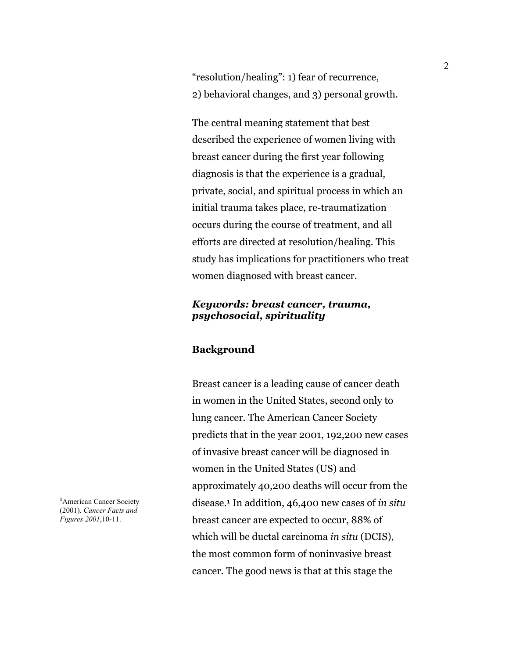"resolution/healing": 1) fear of recurrence, 2) behavioral changes, and 3) personal growth.

The central meaning statement that best described the experience of women living with breast cancer during the first year following diagnosis is that the experience is a gradual, private, social, and spiritual process in which an initial trauma takes place, re-traumatization occurs during the course of treatment, and all efforts are directed at resolution/healing. This study has implications for practitioners who treat women diagnosed with breast cancer.

# *Keywords: breast cancer, trauma, psychosocial, spirituality*

## **Background**

Breast cancer is a leading cause of cancer death in women in the United States, second only to lung cancer. The American Cancer Society predicts that in the year 2001, 192,200 new cases of invasive breast cancer will be diagnosed in women in the United States (US) and approximately 40,200 deaths will occur from the disease.**<sup>1</sup>** In addition, 46,400 new cases of *in situ* breast cancer are expected to occur, 88% of which will be ductal carcinoma *in situ* (DCIS), the most common form of noninvasive breast cancer. The good news is that at this stage the

**1** American Cancer Society (2001). *Cancer Facts and Figures 2001*,10-11.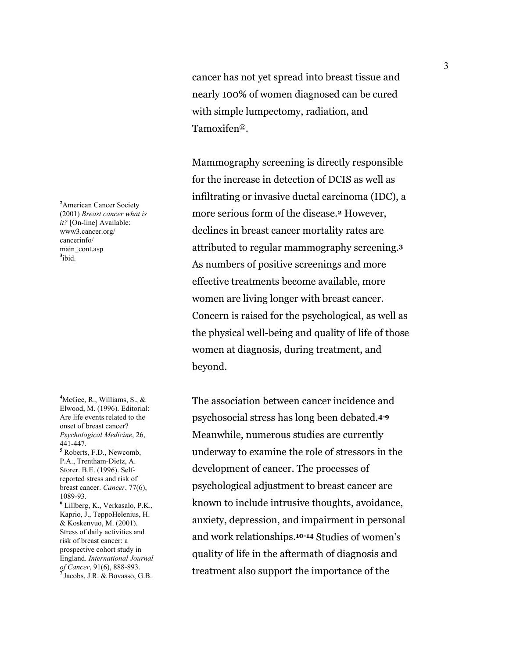cancer has not yet spread into breast tissue and nearly 100% of women diagnosed can be cured with simple lumpectomy, radiation, and Tamoxifen®.

Mammography screening is directly responsible for the increase in detection of DCIS as well as infiltrating or invasive ductal carcinoma (IDC), a more serious form of the disease.**<sup>2</sup>** However, declines in breast cancer mortality rates are attributed to regular mammography screening.**<sup>3</sup>** As numbers of positive screenings and more effective treatments become available, more women are living longer with breast cancer. Concern is raised for the psychological, as well as the physical well-being and quality of life of those women at diagnosis, during treatment, and beyond.

The association between cancer incidence and psychosocial stress has long been debated.**4-9** Meanwhile, numerous studies are currently underway to examine the role of stressors in the development of cancer. The processes of psychological adjustment to breast cancer are known to include intrusive thoughts, avoidance, anxiety, depression, and impairment in personal and work relationships.**10-14** Studies of women's quality of life in the aftermath of diagnosis and treatment also support the importance of the

**2** American Cancer Society (2001) *Breast cancer what is it?* [On-line] Available: www3.cancer.org/ cancerinfo/ main\_cont.asp **3** ibid.

Elwood, M. (1996). Editorial: Are life events related to the onset of breast cancer? *Psychological Medicine*, 26, 441-447. **<sup>5</sup>** Roberts, F.D., Newcomb, P.A., Trentham-Dietz, A. Storer. B.E. (1996). Selfreported stress and risk of breast cancer. *Cancer*, 77(6), 1089-93. **6** Lillberg, K., Verkasalo, P.K., Kaprio, J., TeppoHelenius, H. & Koskenvuo, M. (2001). Stress of daily activities and risk of breast cancer: a prospective cohort study in England. *International Journal of Cancer*, 91(6), 888-893. **<sup>7</sup>** Jacobs, J.R. & Bovasso, G.B.

**4** McGee, R., Williams, S., &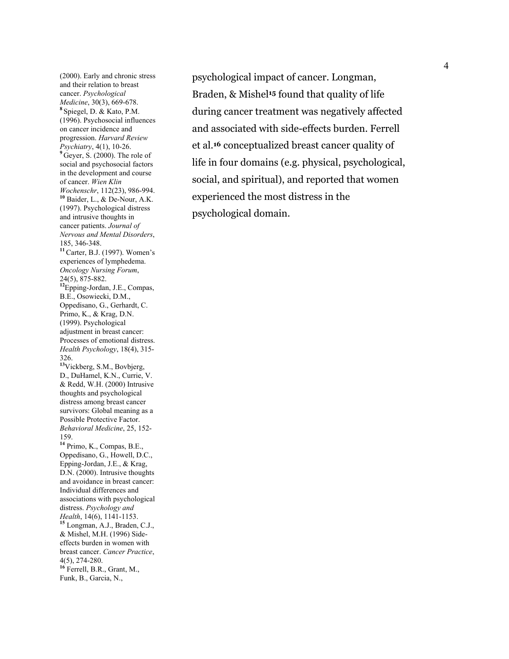(2000). Early and chronic stress and their relation to breast cancer. *Psychological Medicine*, 30(3), 669-678. **<sup>8</sup>** Spiegel, D. & Kato, P.M. (1996). Psychosocial influences on cancer incidence and progression. *Harvard Review Psychiatry*, 4(1), 10-26. **<sup>9</sup>** Geyer, S. (2000). The role of social and psychosocial factors in the development and course of cancer. *Wien Klin Wochenschr*, 112(23), 986-994. **<sup>10</sup>** Baider, L., & De-Nour, A.K. (1997). Psychological distress and intrusive thoughts in cancer patients. *Journal of Nervous and Mental Disorders*, 185, 346-348. **<sup>11</sup>**Carter, B.J. (1997). Women's experiences of lymphedema. *Oncology Nursing Forum*, 24(5), 875-882. **<sup>12</sup>**Epping-Jordan, J.E., Compas, B.E., Osowiecki, D.M., Oppedisano, G., Gerhardt, C. Primo, K., & Krag, D.N. (1999). Psychological adjustment in breast cancer: Processes of emotional distress. *Health Psychology*, 18(4), 315- 326. **<sup>13</sup>**Vickberg, S.M., Bovbjerg, D., DuHamel, K.N., Currie, V. & Redd, W.H. (2000) Intrusive thoughts and psychological distress among breast cancer survivors: Global meaning as a Possible Protective Factor. *Behavioral Medicine*, 25, 152- 159. **<sup>14</sup>** Primo, K., Compas, B.E., Oppedisano, G., Howell, D.C., Epping-Jordan, J.E., & Krag, D.N. (2000). Intrusive thoughts and avoidance in breast cancer: Individual differences and associations with psychological distress. *Psychology and Health*, 14(6), 1141-1153. **<sup>15</sup>** Longman, A.J., Braden, C.J., & Mishel, M.H. (1996) Sideeffects burden in women with breast cancer. *Cancer Practice*, 4(5), 274-280. **<sup>16</sup>** Ferrell, B.R., Grant, M., Funk, B., Garcia, N.,

psychological impact of cancer. Longman, Braden, & Mishel**15** found that quality of life during cancer treatment was negatively affected and associated with side-effects burden. Ferrell et al.**<sup>16</sup>** conceptualized breast cancer quality of life in four domains (e.g. physical, psychological, social, and spiritual), and reported that women experienced the most distress in the psychological domain.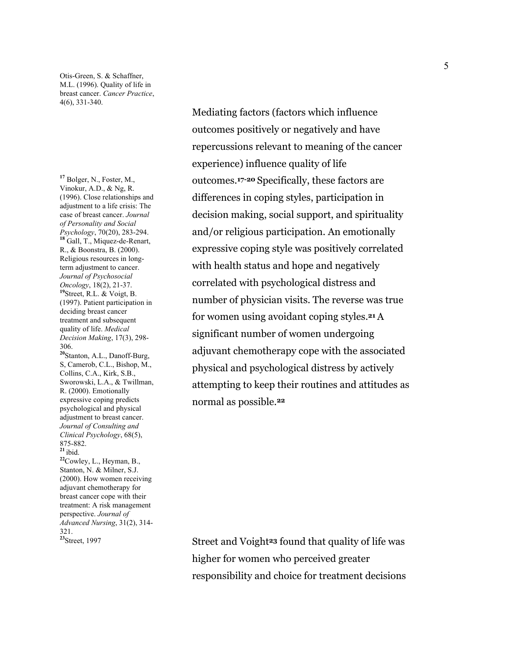Otis-Green, S. & Schaffner, M.L. (1996). Quality of life in breast cancer. *Cancer Practice*, 4(6), 331-340.

**<sup>17</sup>** Bolger, N., Foster, M., Vinokur, A.D., & Ng, R. (1996). Close relationships and adjustment to a life crisis: The case of breast cancer. *Journal of Personality and Social Psychology*, 70(20), 283-294. **<sup>18</sup>** Gall, T., Miquez-de-Renart, R., & Boonstra, B. (2000). Religious resources in longterm adjustment to cancer. *Journal of Psychosocial Oncology*, 18(2), 21-37. **<sup>19</sup>**Street, R.L. & Voigt, B. (1997). Patient participation in deciding breast cancer treatment and subsequent quality of life. *Medical Decision Making*, 17(3), 298- 306. **<sup>20</sup>**Stanton, A.L., Danoff-Burg, S, Camerob, C.L., Bishop, M., Collins, C.A., Kirk, S.B., Sworowski, L.A., & Twillman, R. (2000). Emotionally expressive coping predicts psychological and physical adjustment to breast cancer. *Journal of Consulting and Clinical Psychology*, 68(5), 875-882.  $21$ ibid. **<sup>22</sup>**Cowley, L., Heyman, B., Stanton, N. & Milner, S.J. (2000). How women receiving adjuvant chemotherapy for breast cancer cope with their treatment: A risk management perspective. *Journal of Advanced Nursing*, 31(2), 314- 321.<br><sup>23</sup>Street, 1997

Mediating factors (factors which influence outcomes positively or negatively and have repercussions relevant to meaning of the cancer experience) influence quality of life outcomes.**17-20** Specifically, these factors are differences in coping styles, participation in decision making, social support, and spirituality and/or religious participation. An emotionally expressive coping style was positively correlated with health status and hope and negatively correlated with psychological distress and number of physician visits. The reverse was true for women using avoidant coping styles.**21** A significant number of women undergoing adjuvant chemotherapy cope with the associated physical and psychological distress by actively attempting to keep their routines and attitudes as normal as possible.**<sup>22</sup>**

**23** Street and Voight<sup>23</sup> found that quality of life was higher for women who perceived greater responsibility and choice for treatment decisions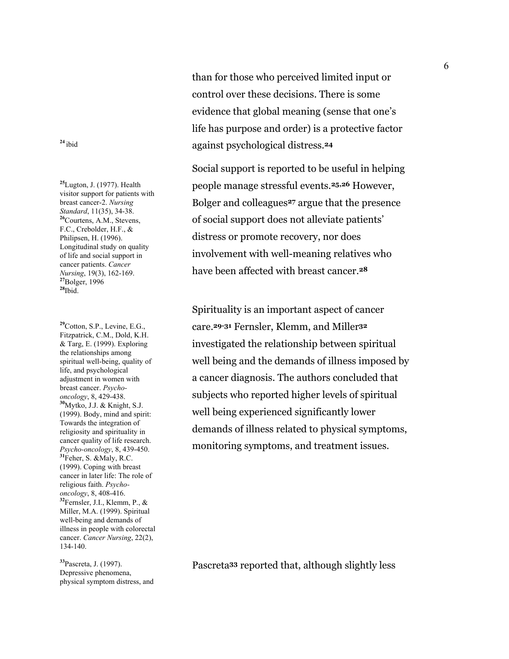**<sup>25</sup>**Lugton, J. (1977). Health visitor support for patients with breast cancer-2. *Nursing Standard*, 11(35), 34-38. **<sup>26</sup>**Courtens, A.M., Stevens, F.C., Crebolder, H.F., & Philipsen, H. (1996). Longitudinal study on quality of life and social support in cancer patients. *Cancer Nursing*, 19(3), 162-169. **<sup>27</sup>**Bolger, 1996  $28$ Ibid.

**<sup>29</sup>**Cotton, S.P., Levine, E.G., Fitzpatrick, C.M., Dold, K.H. & Targ, E. (1999). Exploring the relationships among spiritual well-being, quality of life, and psychological adjustment in women with breast cancer. *Psychooncology*, 8, 429-438. **<sup>30</sup>**Mytko, J.J. & Knight, S.J. (1999). Body, mind and spirit: Towards the integration of religiosity and spirituality in cancer quality of life research. *Psycho-oncology*, 8, 439-450. **<sup>31</sup>**Feher, S. &Maly, R.C. (1999). Coping with breast cancer in later life: The role of religious faith. *Psychooncology*, 8, 408-416. **<sup>32</sup>**Fernsler, J.I., Klemm, P., & Miller, M.A. (1999). Spiritual well-being and demands of illness in people with colorectal cancer. *Cancer Nursing*, 22(2), 134-140.

**<sup>33</sup>**Pascreta, J. (1997). Depressive phenomena, physical symptom distress, and

than for those who perceived limited input or control over these decisions. There is some evidence that global meaning (sense that one's life has purpose and order) is a protective factor **<sup>24</sup>** ibid against psychological distress.**<sup>24</sup>**

> Social support is reported to be useful in helping people manage stressful events.**25,26** However, Bolger and colleagues**27** argue that the presence of social support does not alleviate patients' distress or promote recovery, nor does involvement with well-meaning relatives who have been affected with breast cancer.**<sup>28</sup>**

Spirituality is an important aspect of cancer care.**29-31** Fernsler, Klemm, and Miller**<sup>32</sup>** investigated the relationship between spiritual well being and the demands of illness imposed by a cancer diagnosis. The authors concluded that subjects who reported higher levels of spiritual well being experienced significantly lower demands of illness related to physical symptoms, monitoring symptoms, and treatment issues.

Pascreta**33** reported that, although slightly less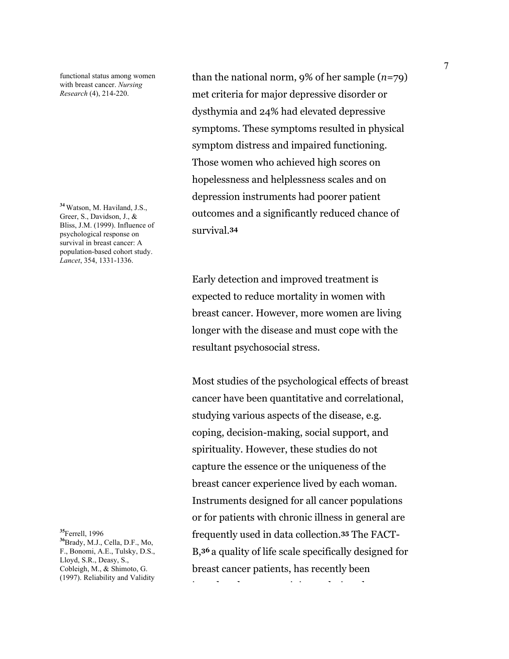functional status among women with breast cancer. *Nursing Research* (4), 214-220.

**<sup>34</sup>** Watson, M. Haviland, J.S., Greer, S., Davidson, J., & Bliss, J.M. (1999). Influence of psychological response on survival in breast cancer: A population-based cohort study. *Lancet*, 354, 1331-1336.

**<sup>35</sup>**Ferrell, 1996 **<sup>36</sup>**Brady, M.J., Cella, D.F., Mo, F., Bonomi, A.E., Tulsky, D.S., Lloyd, S.R., Deasy, S., Cobleigh, M., & Shimoto, G. (1997). Reliability and Validity than the national norm, 9% of her sample (*n*=79) met criteria for major depressive disorder or dysthymia and 24% had elevated depressive symptoms. These symptoms resulted in physical symptom distress and impaired functioning. Those women who achieved high scores on hopelessness and helplessness scales and on depression instruments had poorer patient outcomes and a significantly reduced chance of survival.**<sup>34</sup>**

Early detection and improved treatment is expected to reduce mortality in women with breast cancer. However, more women are living longer with the disease and must cope with the resultant psychosocial stress.

Most studies of the psychological effects of breast cancer have been quantitative and correlational, studying various aspects of the disease, e.g. coping, decision-making, social support, and spirituality. However, these studies do not capture the essence or the uniqueness of the breast cancer experience lived by each woman. Instruments designed for all cancer populations or for patients with chronic illness in general are frequently used in data collection.**35** The FACT-B,**<sup>36</sup>** a quality of life scale specifically designed for breast cancer patients, has recently been

i d'an deus d'an deus d'an deus d'an deus d'an deus d'an deus d'an deus d'an deus d'an deus de deus de la déca<br>De la década de la década de la década de la década de la década de la década de la década de la década de la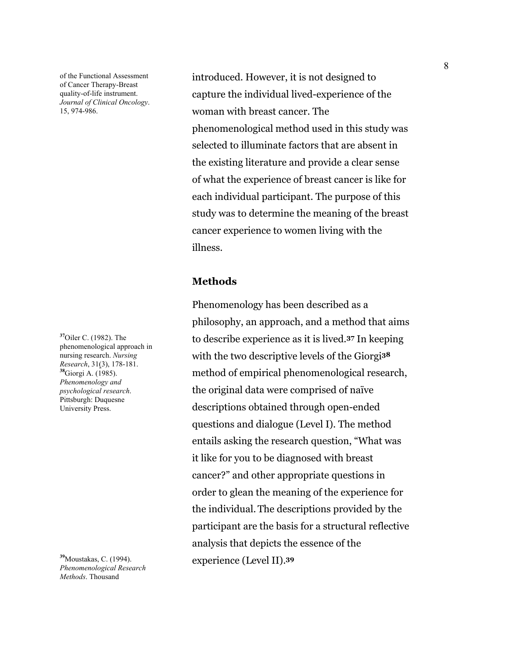of the Functional Assessment of Cancer Therapy-Breast quality-of-life instrument. *Journal of Clinical Oncology*. 15, 974-986.

**<sup>37</sup>**Oiler C. (1982). The phenomenological approach in nursing research. *Nursing Research*, 31(3), 178-181. **<sup>38</sup>**Giorgi A. (1985). *Phenomenology and psychological research*. Pittsburgh: Duquesne University Press.

**<sup>39</sup>**Moustakas, C. (1994). *Phenomenological Research Methods*. Thousand

introduced. However, it is not designed to capture the individual lived-experience of the woman with breast cancer. The phenomenological method used in this study was selected to illuminate factors that are absent in the existing literature and provide a clear sense of what the experience of breast cancer is like for each individual participant. The purpose of this study was to determine the meaning of the breast cancer experience to women living with the illness.

### **Methods**

Phenomenology has been described as a philosophy, an approach, and a method that aims to describe experience as it is lived.**37** In keeping with the two descriptive levels of the Giorgi**<sup>38</sup>** method of empirical phenomenological research, the original data were comprised of naïve descriptions obtained through open-ended questions and dialogue (Level I). The method entails asking the research question, "What was it like for you to be diagnosed with breast cancer?" and other appropriate questions in order to glean the meaning of the experience for the individual. The descriptions provided by the participant are the basis for a structural reflective analysis that depicts the essence of the experience (Level II).**39**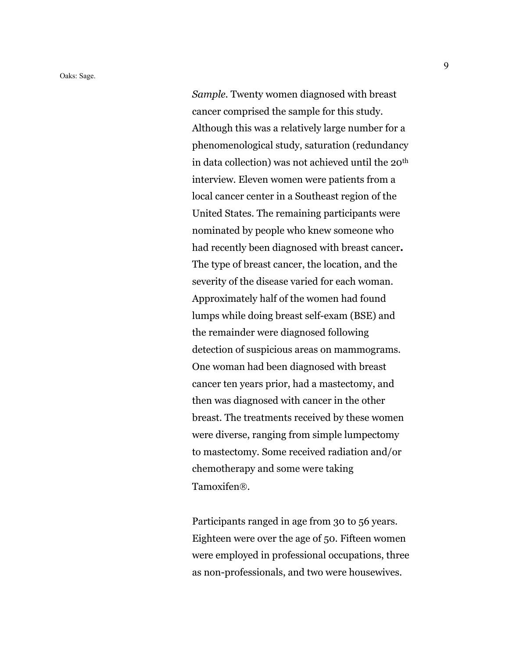*Sample.* Twenty women diagnosed with breast cancer comprised the sample for this study. Although this was a relatively large number for a phenomenological study, saturation (redundancy in data collection) was not achieved until the 20th interview. Eleven women were patients from a local cancer center in a Southeast region of the United States. The remaining participants were nominated by people who knew someone who had recently been diagnosed with breast cancer**.** The type of breast cancer, the location, and the severity of the disease varied for each woman. Approximately half of the women had found lumps while doing breast self-exam (BSE) and the remainder were diagnosed following detection of suspicious areas on mammograms. One woman had been diagnosed with breast cancer ten years prior, had a mastectomy, and then was diagnosed with cancer in the other breast. The treatments received by these women were diverse, ranging from simple lumpectomy to mastectomy. Some received radiation and/or chemotherapy and some were taking Tamoxifen®.

Participants ranged in age from 30 to 56 years. Eighteen were over the age of 50. Fifteen women were employed in professional occupations, three as non-professionals, and two were housewives.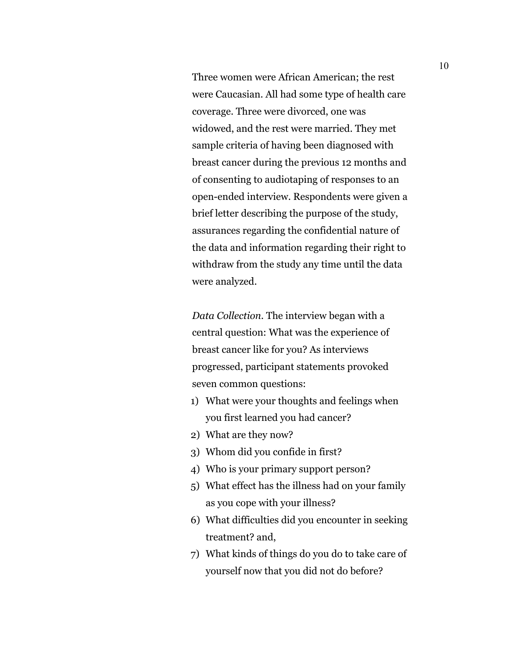Three women were African American; the rest were Caucasian. All had some type of health care coverage. Three were divorced, one was widowed, and the rest were married. They met sample criteria of having been diagnosed with breast cancer during the previous 12 months and of consenting to audiotaping of responses to an open-ended interview. Respondents were given a brief letter describing the purpose of the study, assurances regarding the confidential nature of the data and information regarding their right to withdraw from the study any time until the data were analyzed.

*Data Collection.* The interview began with a central question: What was the experience of breast cancer like for you? As interviews progressed, participant statements provoked seven common questions:

- 1) What were your thoughts and feelings when you first learned you had cancer?
- 2) What are they now?
- 3) Whom did you confide in first?
- 4) Who is your primary support person?
- 5) What effect has the illness had on your family as you cope with your illness?
- 6) What difficulties did you encounter in seeking treatment? and,
- 7) What kinds of things do you do to take care of yourself now that you did not do before?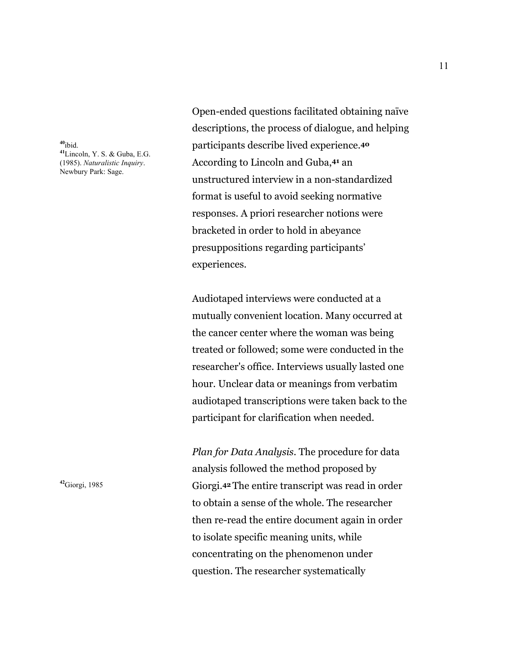**<sup>40</sup>**ibid. **<sup>41</sup>**Lincoln, Y. S. & Guba, E.G. (1985). *Naturalistic Inquiry*. Newbury Park: Sage.

Open-ended questions facilitated obtaining naïve descriptions, the process of dialogue, and helping participants describe lived experience.**<sup>40</sup>** According to Lincoln and Guba,**41** an unstructured interview in a non-standardized format is useful to avoid seeking normative responses. A priori researcher notions were bracketed in order to hold in abeyance presuppositions regarding participants' experiences.

Audiotaped interviews were conducted at a mutually convenient location. Many occurred at the cancer center where the woman was being treated or followed; some were conducted in the researcher's office. Interviews usually lasted one hour. Unclear data or meanings from verbatim audiotaped transcriptions were taken back to the participant for clarification when needed.

*Plan for Data Analysis.* The procedure for data analysis followed the method proposed by <sup>42</sup>Giorgi, 1985 **Giorgi.** 42 The entire transcript was read in order to obtain a sense of the whole. The researcher then re-read the entire document again in order to isolate specific meaning units, while concentrating on the phenomenon under question. The researcher systematically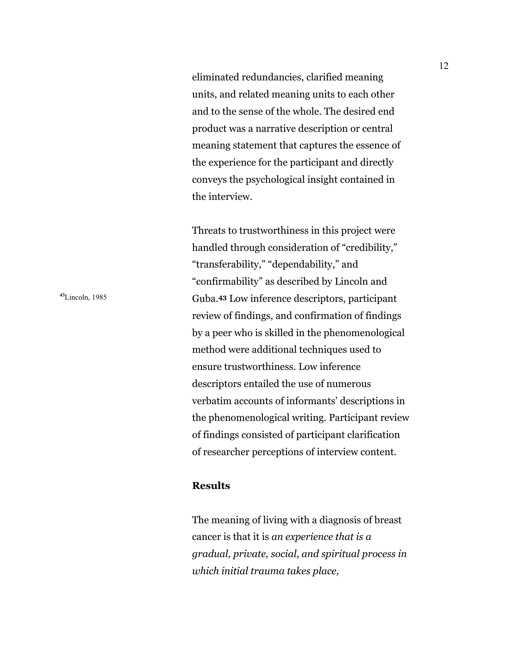eliminated redundancies, clarified meaning units, and related meaning units to each other and to the sense of the whole. The desired end product was a narrative description or central meaning statement that captures the essence of the experience for the participant and directly conveys the psychological insight contained in the interview.

Threats to trustworthiness in this project were handled through consideration of "credibility," "transferability," "dependability," and "confirmability" as described by Lincoln and **<sup>43</sup>**Lincoln, 1985 Guba.**43** Low inference descriptors, participant review of findings, and confirmation of findings by a peer who is skilled in the phenomenological method were additional techniques used to ensure trustworthiness. Low inference descriptors entailed the use of numerous verbatim accounts of informants' descriptions in the phenomenological writing. Participant review of findings consisted of participant clarification of researcher perceptions of interview content.

### **Results**

The meaning of living with a diagnosis of breast cancer is that it is *an experience that is a gradual, private, social, and spiritual process in which initial trauma takes place,*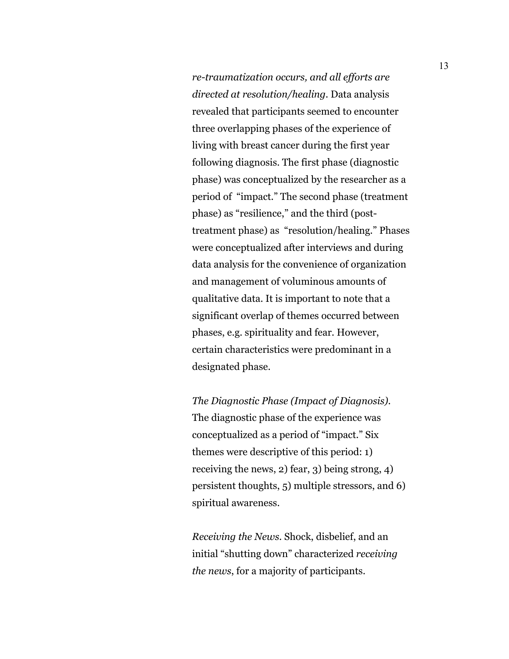*re-traumatization occurs, and all efforts are directed at resolution/healing.* Data analysis revealed that participants seemed to encounter three overlapping phases of the experience of living with breast cancer during the first year following diagnosis. The first phase (diagnostic phase) was conceptualized by the researcher as a period of "impact." The second phase (treatment phase) as "resilience," and the third (posttreatment phase) as "resolution/healing." Phases were conceptualized after interviews and during data analysis for the convenience of organization and management of voluminous amounts of qualitative data. It is important to note that a significant overlap of themes occurred between phases, e.g. spirituality and fear. However, certain characteristics were predominant in a designated phase.

*The Diagnostic Phase (Impact of Diagnosis).*  The diagnostic phase of the experience was conceptualized as a period of "impact." Six themes were descriptive of this period: 1) receiving the news, 2) fear, 3) being strong, 4) persistent thoughts, 5) multiple stressors, and 6) spiritual awareness.

*Receiving the News.* Shock, disbelief, and an initial "shutting down" characterized *receiving the news*, for a majority of participants.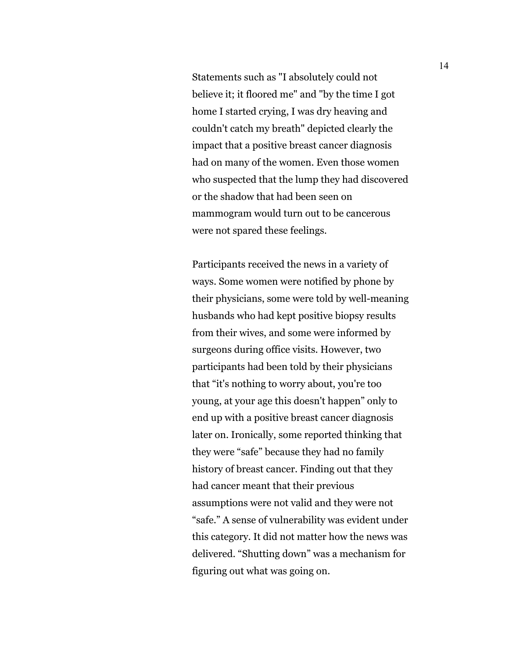Statements such as "I absolutely could not believe it; it floored me" and "by the time I got home I started crying, I was dry heaving and couldn't catch my breath" depicted clearly the impact that a positive breast cancer diagnosis had on many of the women. Even those women who suspected that the lump they had discovered or the shadow that had been seen on mammogram would turn out to be cancerous were not spared these feelings.

Participants received the news in a variety of ways. Some women were notified by phone by their physicians, some were told by well-meaning husbands who had kept positive biopsy results from their wives, and some were informed by surgeons during office visits. However, two participants had been told by their physicians that "it's nothing to worry about, you're too young, at your age this doesn't happen" only to end up with a positive breast cancer diagnosis later on. Ironically, some reported thinking that they were "safe" because they had no family history of breast cancer. Finding out that they had cancer meant that their previous assumptions were not valid and they were not "safe." A sense of vulnerability was evident under this category. It did not matter how the news was delivered. "Shutting down" was a mechanism for figuring out what was going on.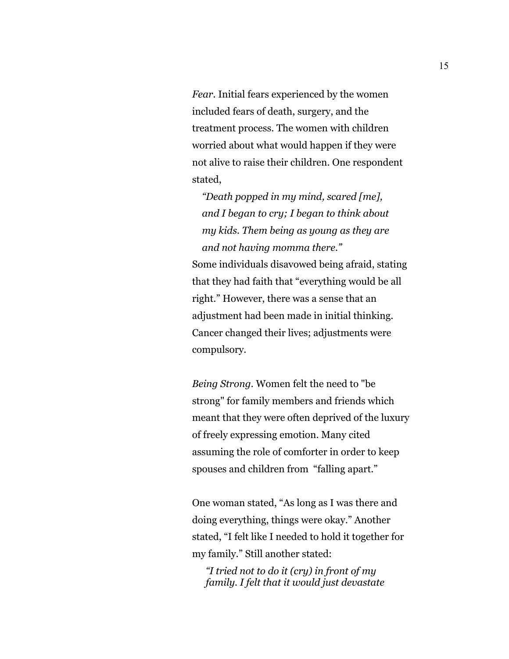*Fear.* Initial fears experienced by the women included fears of death, surgery, and the treatment process. The women with children worried about what would happen if they were not alive to raise their children. One respondent stated,

*"Death popped in my mind, scared [me], and I began to cry; I began to think about my kids. Them being as young as they are and not having momma there."*  Some individuals disavowed being afraid, stating that they had faith that "everything would be all right." However, there was a sense that an adjustment had been made in initial thinking. Cancer changed their lives; adjustments were compulsory.

*Being Strong.* Women felt the need to "be strong" for family members and friends which meant that they were often deprived of the luxury of freely expressing emotion. Many cited assuming the role of comforter in order to keep spouses and children from "falling apart."

One woman stated, "As long as I was there and doing everything, things were okay." Another stated, "I felt like I needed to hold it together for my family." Still another stated:

*"I tried not to do it (cry) in front of my family. I felt that it would just devastate*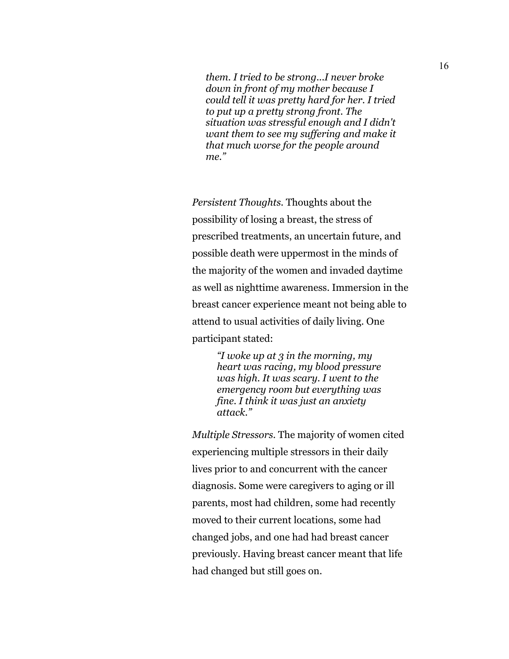*them. I tried to be strong...I never broke down in front of my mother because I could tell it was pretty hard for her. I tried to put up a pretty strong front. The situation was stressful enough and I didn't want them to see my suffering and make it that much worse for the people around me."* 

*Persistent Thoughts.* Thoughts about the possibility of losing a breast, the stress of prescribed treatments, an uncertain future, and possible death were uppermost in the minds of the majority of the women and invaded daytime as well as nighttime awareness. Immersion in the breast cancer experience meant not being able to attend to usual activities of daily living. One participant stated:

> *"I woke up at 3 in the morning, my heart was racing, my blood pressure was high. It was scary. I went to the emergency room but everything was fine. I think it was just an anxiety attack."*

*Multiple Stressors.* The majority of women cited experiencing multiple stressors in their daily lives prior to and concurrent with the cancer diagnosis. Some were caregivers to aging or ill parents, most had children, some had recently moved to their current locations, some had changed jobs, and one had had breast cancer previously. Having breast cancer meant that life had changed but still goes on.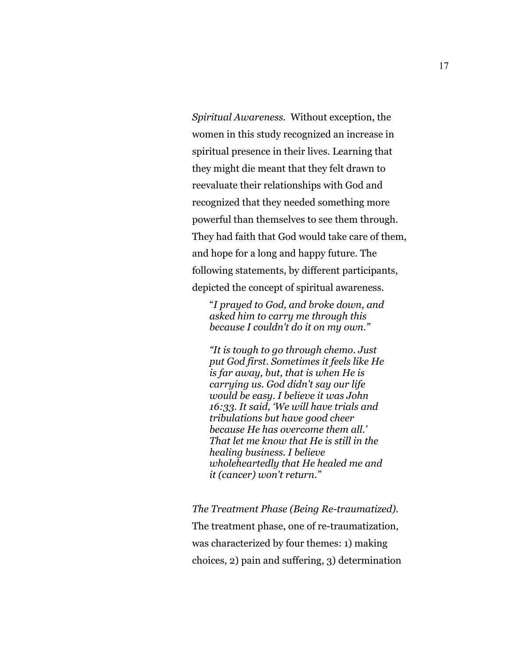*Spiritual Awareness.* Without exception, the women in this study recognized an increase in spiritual presence in their lives. Learning that they might die meant that they felt drawn to reevaluate their relationships with God and recognized that they needed something more powerful than themselves to see them through. They had faith that God would take care of them, and hope for a long and happy future. The following statements, by different participants, depicted the concept of spiritual awareness.

"*I prayed to God, and broke down, and asked him to carry me through this because I couldn't do it on my own."* 

*"It is tough to go through chemo. Just put God first. Sometimes it feels like He is far away, but, that is when He is carrying us. God didn't say our life would be easy. I believe it was John 16:33. It said, 'We will have trials and tribulations but have good cheer because He has overcome them all.' That let me know that He is still in the healing business. I believe wholeheartedly that He healed me and it (cancer) won't return."* 

*The Treatment Phase (Being Re-traumatized).*

The treatment phase, one of re-traumatization, was characterized by four themes: 1) making choices, 2) pain and suffering, 3) determination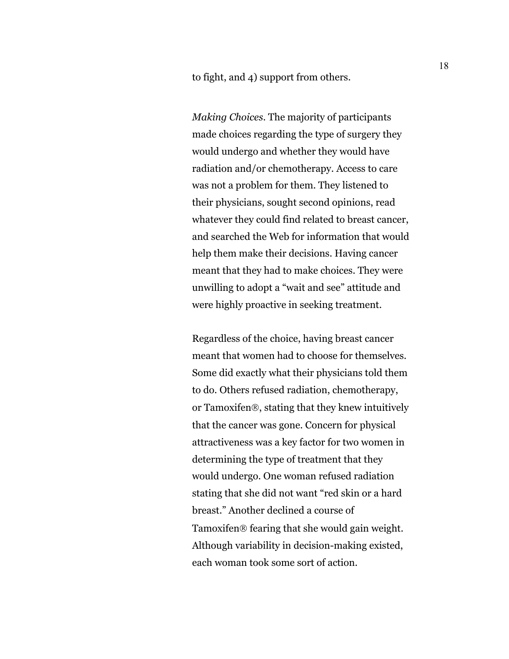to fight, and 4) support from others.

*Making Choices*. The majority of participants made choices regarding the type of surgery they would undergo and whether they would have radiation and/or chemotherapy. Access to care was not a problem for them. They listened to their physicians, sought second opinions, read whatever they could find related to breast cancer, and searched the Web for information that would help them make their decisions. Having cancer meant that they had to make choices. They were unwilling to adopt a "wait and see" attitude and were highly proactive in seeking treatment.

Regardless of the choice, having breast cancer meant that women had to choose for themselves. Some did exactly what their physicians told them to do. Others refused radiation, chemotherapy, or Tamoxifen®, stating that they knew intuitively that the cancer was gone. Concern for physical attractiveness was a key factor for two women in determining the type of treatment that they would undergo. One woman refused radiation stating that she did not want "red skin or a hard breast." Another declined a course of Tamoxifen® fearing that she would gain weight. Although variability in decision-making existed, each woman took some sort of action.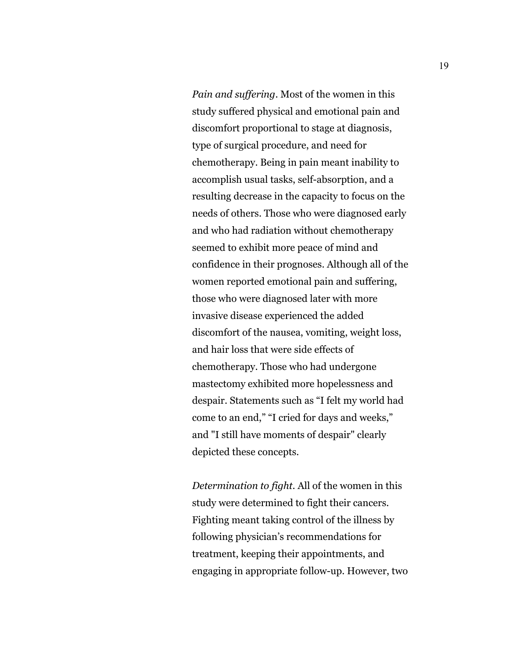*Pain and suffering*. Most of the women in this study suffered physical and emotional pain and discomfort proportional to stage at diagnosis, type of surgical procedure, and need for chemotherapy. Being in pain meant inability to accomplish usual tasks, self-absorption, and a resulting decrease in the capacity to focus on the needs of others. Those who were diagnosed early and who had radiation without chemotherapy seemed to exhibit more peace of mind and confidence in their prognoses. Although all of the women reported emotional pain and suffering, those who were diagnosed later with more invasive disease experienced the added discomfort of the nausea, vomiting, weight loss, and hair loss that were side effects of chemotherapy. Those who had undergone mastectomy exhibited more hopelessness and despair. Statements such as "I felt my world had come to an end," "I cried for days and weeks," and "I still have moments of despair" clearly depicted these concepts.

*Determination to fight*. All of the women in this study were determined to fight their cancers. Fighting meant taking control of the illness by following physician's recommendations for treatment, keeping their appointments, and engaging in appropriate follow-up. However, two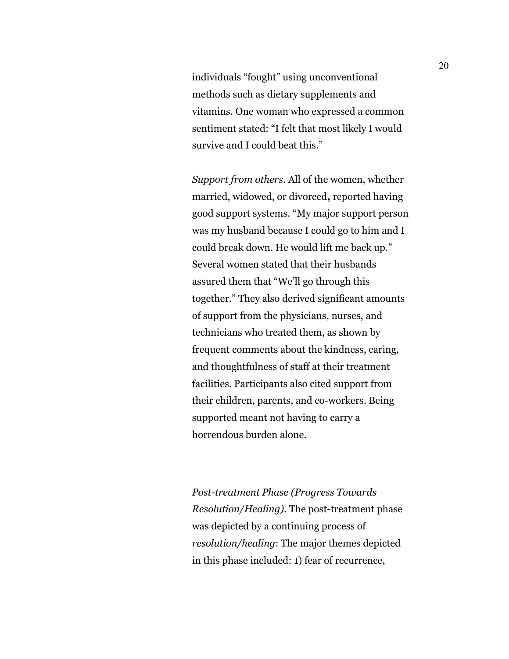individuals "fought" using unconventional methods such as dietary supplements and vitamins. One woman who expressed a common sentiment stated: "I felt that most likely I would survive and I could beat this."

*Support from others*. All of the women, whether married, widowed, or divorced**,** reported having good support systems. "My major support person was my husband because I could go to him and I could break down. He would lift me back up." Several women stated that their husbands assured them that "We'll go through this together." They also derived significant amounts of support from the physicians, nurses, and technicians who treated them, as shown by frequent comments about the kindness, caring, and thoughtfulness of staff at their treatment facilities. Participants also cited support from their children, parents, and co-workers. Being supported meant not having to carry a horrendous burden alone.

*Post-treatment Phase (Progress Towards Resolution/Healing).* The post-treatment phase was depicted by a continuing process of *resolution/healing*: The major themes depicted in this phase included: 1) fear of recurrence,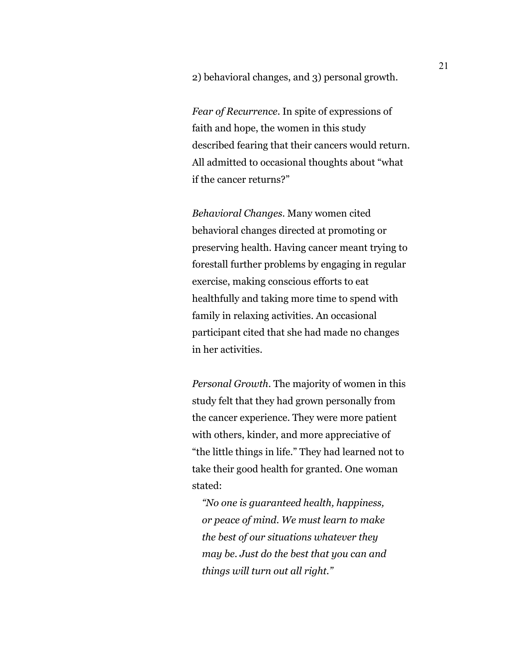2) behavioral changes, and 3) personal growth.

*Fear of Recurrence*. In spite of expressions of faith and hope, the women in this study described fearing that their cancers would return. All admitted to occasional thoughts about "what if the cancer returns?"

*Behavioral Changes*. Many women cited behavioral changes directed at promoting or preserving health. Having cancer meant trying to forestall further problems by engaging in regular exercise, making conscious efforts to eat healthfully and taking more time to spend with family in relaxing activities. An occasional participant cited that she had made no changes in her activities.

*Personal Growth*. The majority of women in this study felt that they had grown personally from the cancer experience. They were more patient with others, kinder, and more appreciative of "the little things in life." They had learned not to take their good health for granted. One woman stated:

*"No one is guaranteed health, happiness, or peace of mind. We must learn to make the best of our situations whatever they may be. Just do the best that you can and things will turn out all right."*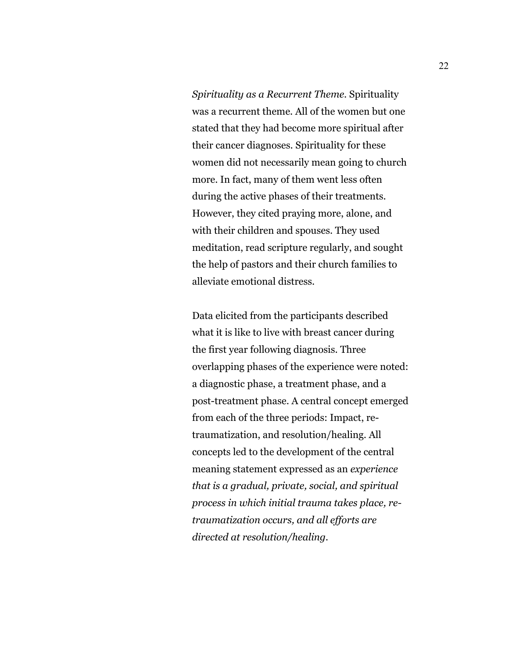*Spirituality as a Recurrent Theme*. Spirituality was a recurrent theme. All of the women but one stated that they had become more spiritual after their cancer diagnoses. Spirituality for these women did not necessarily mean going to church more. In fact, many of them went less often during the active phases of their treatments. However, they cited praying more, alone, and with their children and spouses. They used meditation, read scripture regularly, and sought the help of pastors and their church families to alleviate emotional distress.

Data elicited from the participants described what it is like to live with breast cancer during the first year following diagnosis. Three overlapping phases of the experience were noted: a diagnostic phase, a treatment phase, and a post-treatment phase. A central concept emerged from each of the three periods: Impact, retraumatization, and resolution/healing. All concepts led to the development of the central meaning statement expressed as an *experience that is a gradual, private, social, and spiritual process in which initial trauma takes place, retraumatization occurs, and all efforts are directed at resolution/healing.*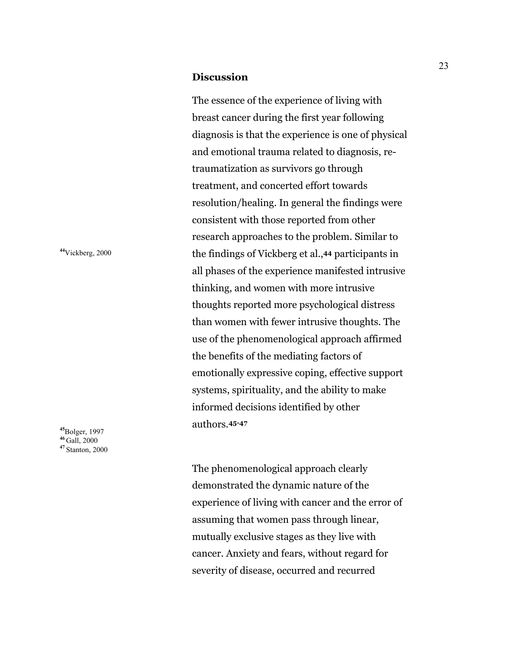#### **Discussion**

The essence of the experience of living with breast cancer during the first year following diagnosis is that the experience is one of physical and emotional trauma related to diagnosis, retraumatization as survivors go through treatment, and concerted effort towards resolution/healing. In general the findings were consistent with those reported from other research approaches to the problem. Similar to **<sup>44</sup>**Vickberg, 2000 the findings of Vickberg et al.,**44** participants in all phases of the experience manifested intrusive thinking, and women with more intrusive thoughts reported more psychological distress than women with fewer intrusive thoughts. The use of the phenomenological approach affirmed the benefits of the mediating factors of emotionally expressive coping, effective support systems, spirituality, and the ability to make informed decisions identified by other authors.**45-47** 

> The phenomenological approach clearly demonstrated the dynamic nature of the experience of living with cancer and the error of assuming that women pass through linear, mutually exclusive stages as they live with cancer. Anxiety and fears, without regard for severity of disease, occurred and recurred

**<sup>45</sup>**Bolger, 1997 **<sup>46</sup>** Gall, 2000 **<sup>47</sup>**Stanton, 2000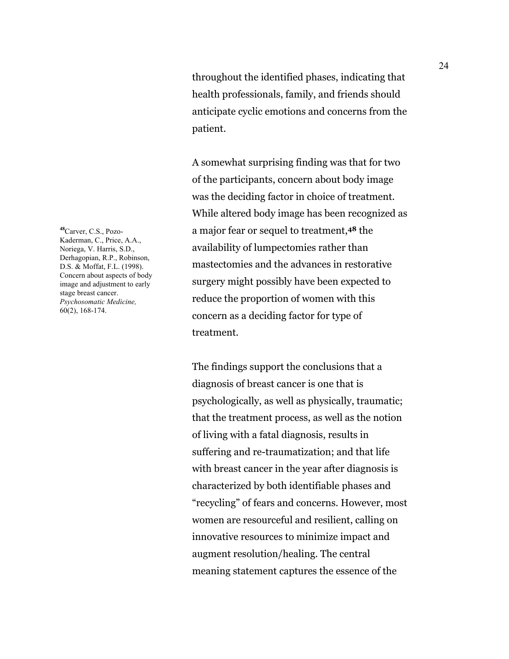throughout the identified phases, indicating that health professionals, family, and friends should anticipate cyclic emotions and concerns from the patient.

A somewhat surprising finding was that for two of the participants, concern about body image was the deciding factor in choice of treatment. While altered body image has been recognized as a major fear or sequel to treatment,**48** the availability of lumpectomies rather than mastectomies and the advances in restorative surgery might possibly have been expected to reduce the proportion of women with this concern as a deciding factor for type of treatment.

 The findings support the conclusions that a diagnosis of breast cancer is one that is psychologically, as well as physically, traumatic; that the treatment process, as well as the notion of living with a fatal diagnosis, results in suffering and re-traumatization; and that life with breast cancer in the year after diagnosis is characterized by both identifiable phases and "recycling" of fears and concerns. However, most women are resourceful and resilient, calling on innovative resources to minimize impact and augment resolution/healing. The central meaning statement captures the essence of the

**<sup>48</sup>**Carver, C.S., Pozo-Kaderman, C., Price, A.A., Noriega, V. Harris, S.D., Derhagopian, R.P., Robinson, D.S. & Moffat, F.L. (1998). Concern about aspects of body image and adjustment to early stage breast cancer. *Psychosomatic Medicine,* 60(2), 168-174.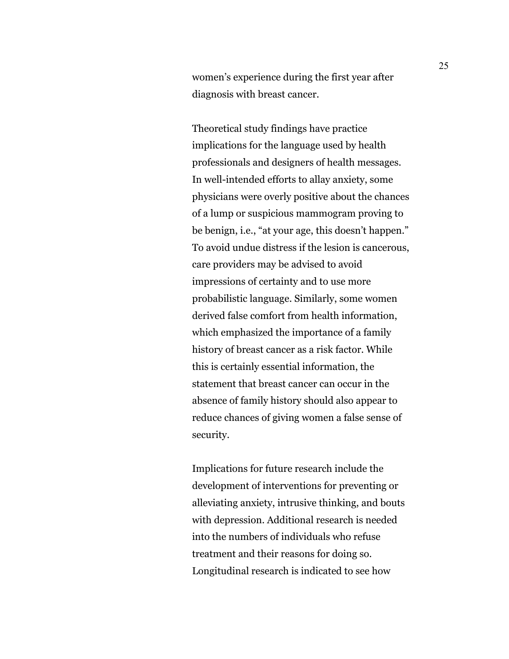women's experience during the first year after diagnosis with breast cancer.

 Theoretical study findings have practice implications for the language used by health professionals and designers of health messages. In well-intended efforts to allay anxiety, some physicians were overly positive about the chances of a lump or suspicious mammogram proving to be benign, i.e., "at your age, this doesn't happen." To avoid undue distress if the lesion is cancerous, care providers may be advised to avoid impressions of certainty and to use more probabilistic language. Similarly, some women derived false comfort from health information, which emphasized the importance of a family history of breast cancer as a risk factor. While this is certainly essential information, the statement that breast cancer can occur in the absence of family history should also appear to reduce chances of giving women a false sense of security.

 Implications for future research include the development of interventions for preventing or alleviating anxiety, intrusive thinking, and bouts with depression. Additional research is needed into the numbers of individuals who refuse treatment and their reasons for doing so. Longitudinal research is indicated to see how